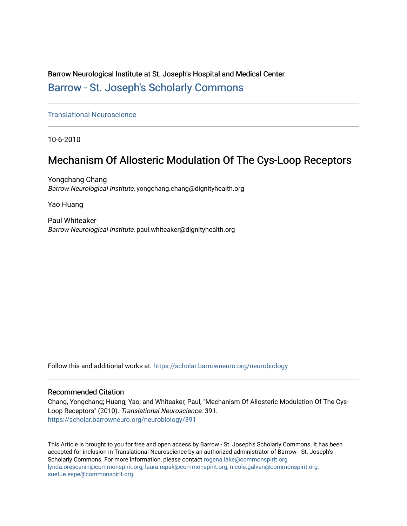## Barrow Neurological Institute at St. Joseph's Hospital and Medical Center [Barrow - St. Joseph's Scholarly Commons](https://scholar.barrowneuro.org/)

[Translational Neuroscience](https://scholar.barrowneuro.org/neurobiology)

10-6-2010

## Mechanism Of Allosteric Modulation Of The Cys-Loop Receptors

Yongchang Chang Barrow Neurological Institute, yongchang.chang@dignityhealth.org

Yao Huang

Paul Whiteaker Barrow Neurological Institute, paul.whiteaker@dignityhealth.org

Follow this and additional works at: [https://scholar.barrowneuro.org/neurobiology](https://scholar.barrowneuro.org/neurobiology?utm_source=scholar.barrowneuro.org%2Fneurobiology%2F391&utm_medium=PDF&utm_campaign=PDFCoverPages)

#### Recommended Citation

Chang, Yongchang; Huang, Yao; and Whiteaker, Paul, "Mechanism Of Allosteric Modulation Of The Cys-Loop Receptors" (2010). Translational Neuroscience. 391. [https://scholar.barrowneuro.org/neurobiology/391](https://scholar.barrowneuro.org/neurobiology/391?utm_source=scholar.barrowneuro.org%2Fneurobiology%2F391&utm_medium=PDF&utm_campaign=PDFCoverPages)

This Article is brought to you for free and open access by Barrow - St. Joseph's Scholarly Commons. It has been accepted for inclusion in Translational Neuroscience by an authorized administrator of Barrow - St. Joseph's Scholarly Commons. For more information, please contact [rogena.lake@commonspirit.org,](mailto:rogena.lake@commonspirit.org,%20lynda.orescanin@commonspirit.org,%20laura.repak@commonspirit.org,%20nicole.galvan@commonspirit.org,%20suefue.espe@commonspirit.org) [lynda.orescanin@commonspirit.org, laura.repak@commonspirit.org, nicole.galvan@commonspirit.org,](mailto:rogena.lake@commonspirit.org,%20lynda.orescanin@commonspirit.org,%20laura.repak@commonspirit.org,%20nicole.galvan@commonspirit.org,%20suefue.espe@commonspirit.org)  [suefue.espe@commonspirit.org](mailto:rogena.lake@commonspirit.org,%20lynda.orescanin@commonspirit.org,%20laura.repak@commonspirit.org,%20nicole.galvan@commonspirit.org,%20suefue.espe@commonspirit.org).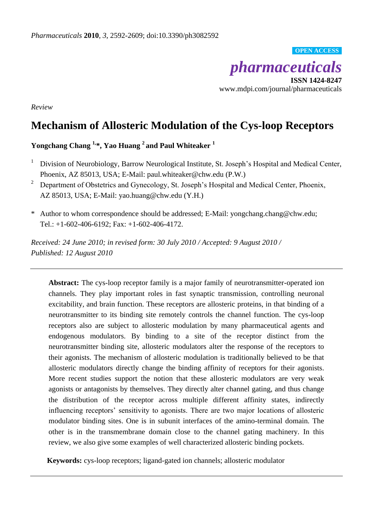#### **OPEN ACCESS**



**ISSN 1424-8247** www.mdpi.com/journal/pharmaceuticals

*Review*

# **Mechanism of Allosteric Modulation of the Cys-loop Receptors**

### **Yongchang Chang 1, \*, Yao Huang <sup>2</sup> and Paul Whiteaker <sup>1</sup>**

- <sup>1</sup> Division of Neurobiology, Barrow Neurological Institute, St. Joseph's Hospital and Medical Center, Phoenix, AZ 85013, USA; E-Mail: paul.whiteaker@chw.edu (P.W.)
- <sup>2</sup> Department of Obstetrics and Gynecology, St. Joseph's Hospital and Medical Center, Phoenix, AZ 85013, USA; E-Mail: yao.huang@chw.edu (Y.H.)
- \* Author to whom correspondence should be addressed; E-Mail: yongchang.chang@chw.edu; Tel.:  $+1-602-406-6192$ ; Fax:  $+1-602-406-4172$ .

*Received: 24 June 2010; in revised form: 30 July 2010 / Accepted: 9 August 2010 / Published: 12 August 2010*

**Abstract:** The cys-loop receptor family is a major family of neurotransmitter-operated ion channels. They play important roles in fast synaptic transmission, controlling neuronal excitability, and brain function. These receptors are allosteric proteins, in that binding of a neurotransmitter to its binding site remotely controls the channel function. The cys-loop receptors also are subject to allosteric modulation by many pharmaceutical agents and endogenous modulators. By binding to a site of the receptor distinct from the neurotransmitter binding site, allosteric modulators alter the response of the receptors to their agonists. The mechanism of allosteric modulation is traditionally believed to be that allosteric modulators directly change the binding affinity of receptors for their agonists. More recent studies support the notion that these allosteric modulators are very weak agonists or antagonists by themselves. They directly alter channel gating, and thus change the distribution of the receptor across multiple different affinity states, indirectly influencing receptors' sensitivity to agonists. There are two major locations of allosteric modulator binding sites. One is in subunit interfaces of the amino-terminal domain. The other is in the transmembrane domain close to the channel gating machinery. In this review, we also give some examples of well characterized allosteric binding pockets.

**Keywords:** cys-loop receptors; ligand-gated ion channels; allosteric modulator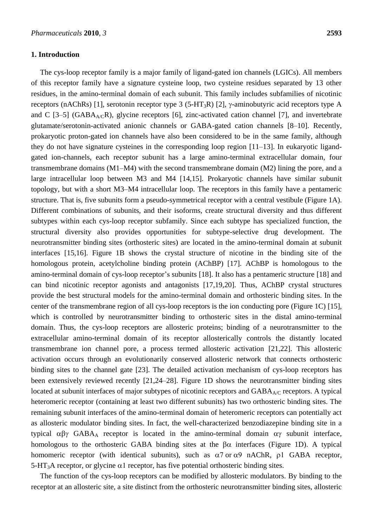#### **1. Introduction**

The cys-loop receptor family is a major family of ligand-gated ion channels (LGICs). All members of this receptor family have a signature cysteine loop, two cysteine residues separated by 13 other residues, in the amino-terminal domain of each subunit. This family includes subfamilies of nicotinic receptors (nAChRs) [1], serotonin receptor type 3 (5-HT<sub>3</sub>R) [2],  $\gamma$ -aminobutyric acid receptors type A and C [3–5] (GABA<sub>A/C</sub>R), glycine receptors [6], zinc-activated cation channel [7], and invertebrate glutamate/serotonin-activated anionic channels or GABA-gated cation channels [8–10]. Recently, prokaryotic proton-gated ion channels have also been considered to be in the same family, although they do not have signature cysteines in the corresponding loop region [11–13]. In eukaryotic ligandgated ion-channels, each receptor subunit has a large amino-terminal extracellular domain, four transmembrane domains (M1–M4) with the second transmembrane domain (M2) lining the pore, and a large intracellular loop between M3 and M4 [14,15]. Prokaryotic channels have similar subunit topology, but with a short M3–M4 intracellular loop. The receptors in this family have a pentameric structure. That is, five subunits form a pseudo-symmetrical receptor with a central vestibule (Figure 1A). Different combinations of subunits, and their isoforms, create structural diversity and thus different subtypes within each cys-loop receptor subfamily. Since each subtype has specialized function, the structural diversity also provides opportunities for subtype-selective drug development. The neurotransmitter binding sites (orthosteric sites) are located in the amino-terminal domain at subunit interfaces [15,16]. Figure 1B shows the crystal structure of nicotine in the binding site of the homologous protein, acetylcholine binding protein (AChBP) [17]. AChBP is homologous to the amino-terminal domain of cys-loop receptor's subunits [18]. It also has a pentameric structure [18] and can bind nicotinic receptor agonists and antagonists [17,19,20]. Thus, AChBP crystal structures provide the best structural models for the amino-terminal domain and orthosteric binding sites. In the center of the transmembrane region of all cys-loop receptors is the ion conducting pore (Figure 1C) [15], which is controlled by neurotransmitter binding to orthosteric sites in the distal amino-terminal domain. Thus, the cys-loop receptors are allosteric proteins; binding of a neurotransmitter to the extracellular amino-terminal domain of its receptor allosterically controls the distantly located transmembrane ion channel pore, a process termed allosteric activation [21,22]. This allosteric activation occurs through an evolutionarily conserved allosteric network that connects orthosteric binding sites to the channel gate [23]. The detailed activation mechanism of cys-loop receptors has been extensively reviewed recently [21,24–28]. Figure 1D shows the neurotransmitter binding sites located at subunit interfaces of major subtypes of nicotinic receptors and  $GABA_{A/C}$  receptors. A typical heteromeric receptor (containing at least two different subunits) has two orthosteric binding sites. The remaining subunit interfaces of the amino-terminal domain of heteromeric receptors can potentially act as allosteric modulator binding sites. In fact, the well-characterized benzodiazepine binding site in a typical  $\alpha\beta\gamma$  GABA<sub>A</sub> receptor is located in the amino-terminal domain  $\alpha\gamma$  subunit interface, homologous to the orthosteric GABA binding sites at the  $\beta\alpha$  interfaces (Figure 1D). A typical homomeric receptor (with identical subunits), such as  $\alpha$ 7 or  $\alpha$ 9 nAChR,  $\rho$ 1 GABA receptor, 5-HT<sub>3</sub>A receptor, or glycine  $\alpha$ 1 receptor, has five potential orthosteric binding sites.

The function of the cys-loop receptors can be modified by allosteric modulators. By binding to the receptor at an allosteric site, a site distinct from the orthosteric neurotransmitter binding sites, allosteric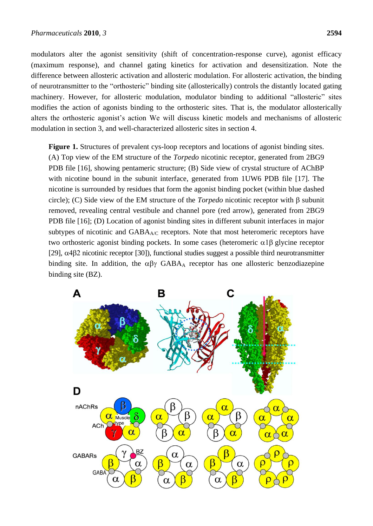modulators alter the agonist sensitivity (shift of concentration-response curve), agonist efficacy (maximum response), and channel gating kinetics for activation and desensitization. Note the difference between allosteric activation and allosteric modulation. For allosteric activation, the binding of neurotransmitter to the "orthosteric" binding site (allosterically) controls the distantly located gating machinery. However, for allosteric modulation, modulator binding to additional "allosteric" sites modifies the action of agonists binding to the orthosteric sites. That is, the modulator allosterically alters the orthosteric agonist's action We will discuss kinetic models and mechanisms of allosteric modulation in section 3, and well-characterized allosteric sites in section 4.

**Figure 1.** Structures of prevalent cys-loop receptors and locations of agonist binding sites. (A) Top view of the EM structure of the *Torpedo* nicotinic receptor, generated from 2BG9 PDB file [16], showing pentameric structure; (B) Side view of crystal structure of AChBP with nicotine bound in the subunit interface, generated from 1UW6 PDB file [17]. The nicotine is surrounded by residues that form the agonist binding pocket (within blue dashed circle); (C) Side view of the EM structure of the *Torpedo* nicotinic receptor with  $\beta$  subunit removed, revealing central vestibule and channel pore (red arrow), generated from 2BG9 PDB file [16]; (D) Location of agonist binding sites in different subunit interfaces in major subtypes of nicotinic and  $GABA_{AC}$  receptors. Note that most heteromeric receptors have two orthosteric agonist binding pockets. In some cases (heteromeric  $\alpha$ 1 $\beta$  glycine receptor [29],  $\alpha$ 4 $\beta$ 2 nicotinic receptor [30]), functional studies suggest a possible third neurotransmitter binding site. In addition, the  $\alpha\beta\gamma$  GABA<sub>A</sub> receptor has one allosteric benzodiazepine binding site (BZ).

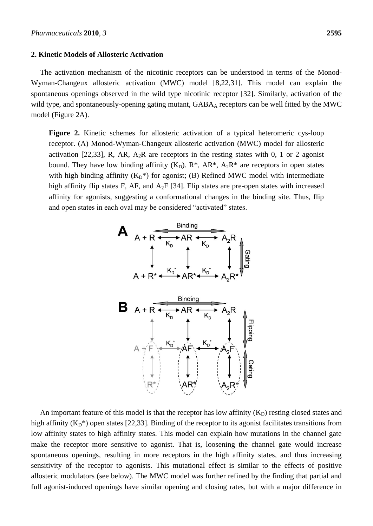#### **2. Kinetic Models of Allosteric Activation**

The activation mechanism of the nicotinic receptors can be understood in terms of the Monod-Wyman-Changeux allosteric activation (MWC) model [8,22,31]. This model can explain the spontaneous openings observed in the wild type nicotinic receptor [32]. Similarly, activation of the wild type, and spontaneously-opening gating mutant, GABAA receptors can be well fitted by the MWC model (Figure 2A).

**Figure 2.** Kinetic schemes for allosteric activation of a typical heteromeric cys-loop receptor. (A) Monod-Wyman-Changeux allosteric activation (MWC) model for allosteric activation [22,33], R, AR,  $A_2R$  are receptors in the resting states with 0, 1 or 2 agonist bound. They have low binding affinity  $(K_D)$ .  $R^*$ ,  $AR^*$ ,  $A_2R^*$  are receptors in open states with high binding affinity  $(K_D^*)$  for agonist; (B) Refined MWC model with intermediate high affinity flip states F, AF, and  $A_2F$  [34]. Flip states are pre-open states with increased affinity for agonists, suggesting a conformational changes in the binding site. Thus, flip and open states in each oval may be considered "activated" states.



An important feature of this model is that the receptor has low affinity  $(K_D)$  resting closed states and high affinity  $(K_D^*)$  open states [22,33]. Binding of the receptor to its agonist facilitates transitions from low affinity states to high affinity states. This model can explain how mutations in the channel gate make the receptor more sensitive to agonist. That is, loosening the channel gate would increase spontaneous openings, resulting in more receptors in the high affinity states, and thus increasing sensitivity of the receptor to agonists. This mutational effect is similar to the effects of positive allosteric modulators (see below). The MWC model was further refined by the finding that partial and full agonist-induced openings have similar opening and closing rates, but with a major difference in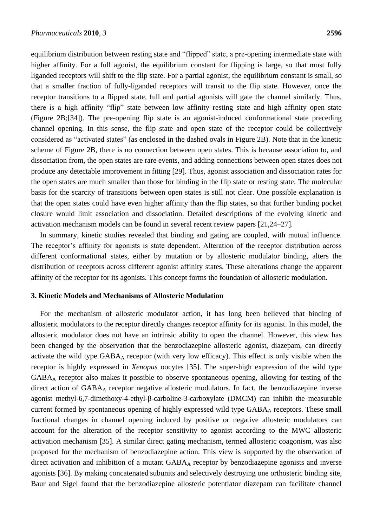equilibrium distribution between resting state and "flipped" state, a pre-opening intermediate state with higher affinity. For a full agonist, the equilibrium constant for flipping is large, so that most fully liganded receptors will shift to the flip state. For a partial agonist, the equilibrium constant is small, so that a smaller fraction of fully-liganded receptors will transit to the flip state. However, once the receptor transitions to a flipped state, full and partial agonists will gate the channel similarly. Thus, there is a high affinity "flip" state between low affinity resting state and high affinity open state (Figure 2B;[34]). The pre-opening flip state is an agonist-induced conformational state preceding channel opening. In this sense, the flip state and open state of the receptor could be collectively considered as "activated states" (as enclosed in the dashed ovals in Figure 2B). Note that in the kinetic scheme of Figure 2B, there is no connection between open states. This is because association to, and dissociation from, the open states are rare events, and adding connections between open states does not produce any detectable improvement in fitting [29]. Thus, agonist association and dissociation rates for the open states are much smaller than those for binding in the flip state or resting state. The molecular basis for the scarcity of transitions between open states is still not clear. One possible explanation is that the open states could have even higher affinity than the flip states, so that further binding pocket closure would limit association and dissociation. Detailed descriptions of the evolving kinetic and activation mechanism models can be found in several recent review papers [21,24–27].

In summary, kinetic studies revealed that binding and gating are coupled, with mutual influence. The receptor's affinity for agonists is state dependent. Alteration of the receptor distribution across different conformational states, either by mutation or by allosteric modulator binding, alters the distribution of receptors across different agonist affinity states. These alterations change the apparent affinity of the receptor for its agonists. This concept forms the foundation of allosteric modulation.

#### **3. Kinetic Models and Mechanisms of Allosteric Modulation**

For the mechanism of allosteric modulator action, it has long been believed that binding of allosteric modulators to the receptor directly changes receptor affinity for its agonist. In this model, the allosteric modulator does not have an intrinsic ability to open the channel. However, this view has been changed by the observation that the benzodiazepine allosteric agonist, diazepam, can directly activate the wild type GABA<sub>A</sub> receptor (with very low efficacy). This effect is only visible when the receptor is highly expressed in *Xenopus* oocytes [35]. The super-high expression of the wild type GABA<sup>A</sup> receptor also makes it possible to observe spontaneous opening, allowing for testing of the direct action of GABA<sub>A</sub> receptor negative allosteric modulators. In fact, the benzodiazepine inverse agonist methyl-6,7-dimethoxy-4-ethyl-β-carboline-3-carboxylate (DMCM) can inhibit the measurable current formed by spontaneous opening of highly expressed wild type GABA<sub>A</sub> receptors. These small fractional changes in channel opening induced by positive or negative allosteric modulators can account for the alteration of the receptor sensitivity to agonist according to the MWC allosteric activation mechanism [35]. A similar direct gating mechanism, termed allosteric coagonism, was also proposed for the mechanism of benzodiazepine action. This view is supported by the observation of direct activation and inhibition of a mutant GABA<sub>A</sub> receptor by benzodiazepine agonists and inverse agonists [36]. By making concatenated subunits and selectively destroying one orthosteric binding site, Baur and Sigel found that the benzodiazepine allosteric potentiator diazepam can facilitate channel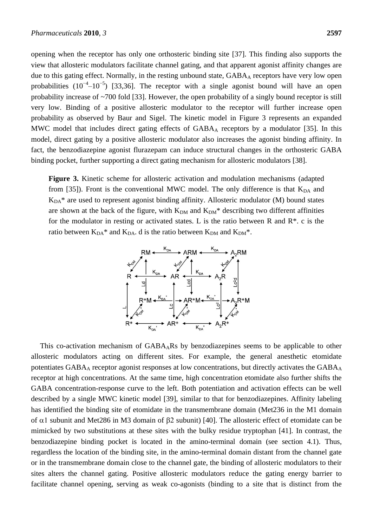opening when the receptor has only one orthosteric binding site [37]. This finding also supports the view that allosteric modulators facilitate channel gating, and that apparent agonist affinity changes are due to this gating effect. Normally, in the resting unbound state, GABA<sub>A</sub> receptors have very low open probabilities  $(10^{-4}-10^{-5})$  [33,36]. The receptor with a single agonist bound will have an open probability increase of ~700 fold [33]. However, the open probability of a singly bound receptor is still very low. Binding of a positive allosteric modulator to the receptor will further increase open probability as observed by Baur and Sigel. The kinetic model in Figure 3 represents an expanded MWC model that includes direct gating effects of GABA<sub>A</sub> receptors by a modulator [35]. In this model, direct gating by a positive allosteric modulator also increases the agonist binding affinity. In fact, the benzodiazepine agonist flurazepam can induce structural changes in the orthosteric GABA binding pocket, further supporting a direct gating mechanism for allosteric modulators [38].

**Figure 3.** Kinetic scheme for allosteric activation and modulation mechanisms (adapted from [35]). Front is the conventional MWC model. The only difference is that  $K_{DA}$  and  $K<sub>DA</sub>$ <sup>\*</sup> are used to represent agonist binding affinity. Allosteric modulator (M) bound states are shown at the back of the figure, with  $K_{DM}$  and  $K_{DM}^*$  describing two different affinities for the modulator in resting or activated states. L is the ratio between R and  $R^*$ . c is the ratio between  $K_{DA}$ <sup>\*</sup> and  $K_{DA}$ . d is the ratio between  $K_{DM}$  and  $K_{DM}$ <sup>\*</sup>.



This co-activation mechanism of GABAARs by benzodiazepines seems to be applicable to other allosteric modulators acting on different sites. For example, the general anesthetic etomidate potentiates GABA<sub>A</sub> receptor agonist responses at low concentrations, but directly activates the GABA<sub>A</sub> receptor at high concentrations. At the same time, high concentration etomidate also further shifts the GABA concentration-response curve to the left. Both potentiation and activation effects can be well described by a single MWC kinetic model [39], similar to that for benzodiazepines. Affinity labeling has identified the binding site of etomidate in the transmembrane domain (Met236 in the M1 domain of  $\alpha$ 1 subunit and Met286 in M3 domain of  $\beta$ 2 subunit) [40]. The allosteric effect of etomidate can be mimicked by two substitutions at these sites with the bulky residue tryptophan [41]. In contrast, the benzodiazepine binding pocket is located in the amino-terminal domain (see section 4.1). Thus, regardless the location of the binding site, in the amino-terminal domain distant from the channel gate or in the transmembrane domain close to the channel gate, the binding of allosteric modulators to their sites alters the channel gating. Positive allosteric modulators reduce the gating energy barrier to facilitate channel opening, serving as weak co-agonists (binding to a site that is distinct from the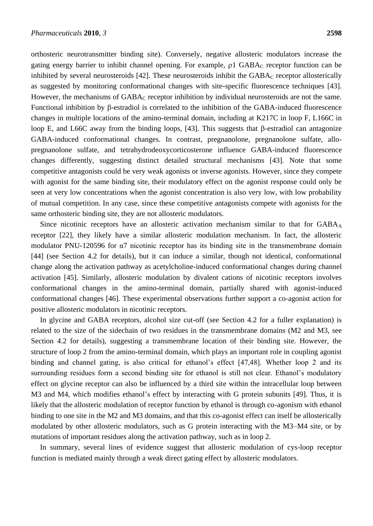orthosteric neurotransmitter binding site). Conversely, negative allosteric modulators increase the gating energy barrier to inhibit channel opening. For example,  $\rho$ 1 GABA $_C$  receptor function can be inhibited by several neurosteroids [42]. These neurosteroids inhibit the  $GABA_C$  receptor allosterically as suggested by monitoring conformational changes with site-specific fluorescence techniques [43]. However, the mechanisms of  $GABA_C$  receptor inhibition by individual neurosteroids are not the same. Functional inhibition by  $\beta$ -estradiol is correlated to the inhibition of the GABA-induced fluorescence changes in multiple locations of the amino-terminal domain, including at K217C in loop F, L166C in loop E, and L66C away from the binding loops, [43]. This suggests that  $\beta$ -estradiol can antagonize GABA-induced conformational changes. In contrast, pregnanolone, pregnanolone sulfate, allopregnanolone sulfate, and tetrahydrodeoxycorticosterone influence GABA-induced fluorescence changes differently, suggesting distinct detailed structural mechanisms [43]. Note that some competitive antagonists could be very weak agonists or inverse agonists. However, since they compete with agonist for the same binding site, their modulatory effect on the agonist response could only be seen at very low concentrations when the agonist concentration is also very low, with low probability of mutual competition. In any case, since these competitive antagonists compete with agonists for the same orthosteric binding site, they are not allosteric modulators.

Since nicotinic receptors have an allosteric activation mechanism similar to that for GABA<sub>A</sub> receptor [22], they likely have a similar allosteric modulation mechanism. In fact, the allosteric modulator PNU-120596 for α7 nicotinic receptor has its binding site in the transmembrane domain [44] (see Section 4.2 for details), but it can induce a similar, though not identical, conformational change along the activation pathway as acetylcholine-induced conformational changes during channel activation [45]. Similarly, allosteric modulation by divalent cations of nicotinic receptors involves conformational changes in the amino-terminal domain, partially shared with agonist-induced conformational changes [46]. These experimental observations further support a co-agonist action for positive allosteric modulators in nicotinic receptors.

In glycine and GABA receptors, alcohol size cut-off (see Section 4.2 for a fuller explanation) is related to the size of the sidechain of two residues in the transmembrane domains (M2 and M3, see Section 4.2 for details), suggesting a transmembrane location of their binding site. However, the structure of loop 2 from the amino-terminal domain, which plays an important role in coupling agonist binding and channel gating, is also critical for ethanol's effect [47,48]. Whether loop 2 and its surrounding residues form a second binding site for ethanol is still not clear. Ethanol's modulatory effect on glycine receptor can also be influenced by a third site within the intracellular loop between M3 and M4, which modifies ethanol's effect by interacting with G protein subunits [49]. Thus, it is likely that the allosteric modulation of receptor function by ethanol is through co-agonism with ethanol binding to one site in the M2 and M3 domains, and that this co-agonist effect can itself be allosterically modulated by other allosteric modulators, such as G protein interacting with the M3–M4 site, or by mutations of important residues along the activation pathway, such as in loop 2.

In summary, several lines of evidence suggest that allosteric modulation of cys-loop receptor function is mediated mainly through a weak direct gating effect by allosteric modulators.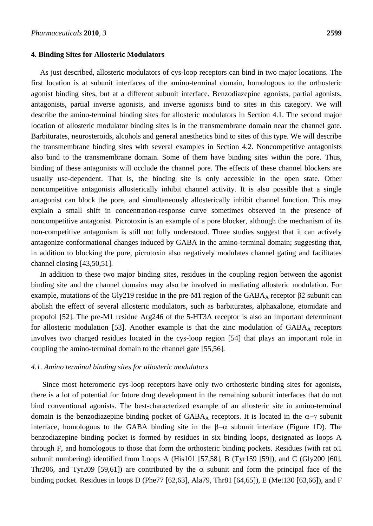#### **4. Binding Sites for Allosteric Modulators**

As just described, allosteric modulators of cys-loop receptors can bind in two major locations. The first location is at subunit interfaces of the amino-terminal domain, homologous to the orthosteric agonist binding sites, but at a different subunit interface. Benzodiazepine agonists, partial agonists, antagonists, partial inverse agonists, and inverse agonists bind to sites in this category. We will describe the amino-terminal binding sites for allosteric modulators in Section 4.1. The second major location of allosteric modulator binding sites is in the transmembrane domain near the channel gate. Barbiturates, neurosteroids, alcohols and general anesthetics bind to sites of this type. We will describe the transmembrane binding sites with several examples in Section 4.2. Noncompetitive antagonists also bind to the transmembrane domain. Some of them have binding sites within the pore. Thus, binding of these antagonists will occlude the channel pore. The effects of these channel blockers are usually use-dependent. That is, the binding site is only accessible in the open state. Other noncompetitive antagonists allosterically inhibit channel activity. It is also possible that a single antagonist can block the pore, and simultaneously allosterically inhibit channel function. This may explain a small shift in concentration-response curve sometimes observed in the presence of noncompetitive antagonist. Picrotoxin is an example of a pore blocker, although the mechanism of its non-competitive antagonism is still not fully understood. Three studies suggest that it can actively antagonize conformational changes induced by GABA in the amino-terminal domain; suggesting that, in addition to blocking the pore, picrotoxin also negatively modulates channel gating and facilitates channel closing [43,50,51].

In addition to these two major binding sites, residues in the coupling region between the agonist binding site and the channel domains may also be involved in mediating allosteric modulation. For example, mutations of the Gly219 residue in the pre-M1 region of the  $GABA_A$  receptor  $\beta$ 2 subunit can abolish the effect of several allosteric modulators, such as barbiturates, alphaxalone, etomidate and propofol [52]. The pre-M1 residue Arg246 of the 5-HT3A receptor is also an important determinant for allosteric modulation [53]. Another example is that the zinc modulation of  $GABA<sub>A</sub>$  receptors involves two charged residues located in the cys-loop region [54] that plays an important role in coupling the amino-terminal domain to the channel gate [55,56].

#### *4.1. Amino terminal binding sites for allosteric modulators*

Since most heteromeric cys-loop receptors have only two orthosteric binding sites for agonists, there is a lot of potential for future drug development in the remaining subunit interfaces that do not bind conventional agonists. The best-characterized example of an allosteric site in amino-terminal domain is the benzodiazepine binding pocket of GABA<sub>A</sub> receptors. It is located in the  $\alpha-\gamma$  subunit interface, homologous to the GABA binding site in the  $\beta-\alpha$  subunit interface (Figure 1D). The benzodiazepine binding pocket is formed by residues in six binding loops, designated as loops A through F, and homologous to those that form the orthosteric binding pockets. Residues (with rat  $\alpha$ 1) subunit numbering) identified from Loops A (His101 [57,58], B (Tyr159 [59]), and C (Gly200 [60], Thr206, and Tyr209 [59,61]) are contributed by the  $\alpha$  subunit and form the principal face of the binding pocket. Residues in loops D (Phe77 [62,63], Ala79, Thr81 [64,65]), E (Met130 [63,66]), and F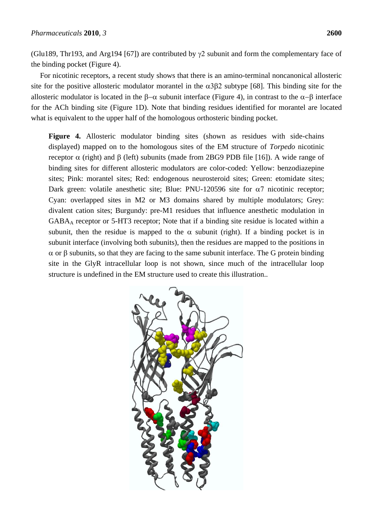(Glu189, Thr193, and Arg194 [67]) are contributed by  $\gamma$ 2 subunit and form the complementary face of the binding pocket (Figure 4).

For nicotinic receptors, a recent study shows that there is an amino-terminal noncanonical allosteric site for the positive allosteric modulator morantel in the  $\alpha$ 3 $\beta$ 2 subtype [68]. This binding site for the allosteric modulator is located in the  $\beta-\alpha$  subunit interface (Figure 4), in contrast to the  $\alpha-\beta$  interface for the ACh binding site (Figure 1D). Note that binding residues identified for morantel are located what is equivalent to the upper half of the homologous orthosteric binding pocket.

Figure 4. Allosteric modulator binding sites (shown as residues with side-chains displayed) mapped on to the homologous sites of the EM structure of *Torpedo* nicotinic receptor  $\alpha$  (right) and  $\beta$  (left) subunits (made from 2BG9 PDB file [16]). A wide range of binding sites for different allosteric modulators are color-coded: Yellow: benzodiazepine sites; Pink: morantel sites; Red: endogenous neurosteroid sites; Green: etomidate sites; Dark green: volatile anesthetic site; Blue: PNU-120596 site for  $\alpha$ 7 nicotinic receptor; Cyan: overlapped sites in M2 or M3 domains shared by multiple modulators; Grey: divalent cation sites; Burgundy: pre-M1 residues that influence anesthetic modulation in GABA<sup>A</sup> receptor or 5-HT3 receptor; Note that if a binding site residue is located within a subunit, then the residue is mapped to the  $\alpha$  subunit (right). If a binding pocket is in subunit interface (involving both subunits), then the residues are mapped to the positions in  $\alpha$  or  $\beta$  subunits, so that they are facing to the same subunit interface. The G protein binding site in the GlyR intracellular loop is not shown, since much of the intracellular loop structure is undefined in the EM structure used to create this illustration..

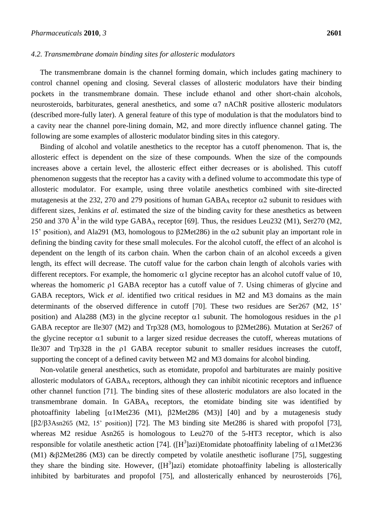#### *4.2. Transmembrane domain binding sites for allosteric modulators*

The transmembrane domain is the channel forming domain, which includes gating machinery to control channel opening and closing. Several classes of allosteric modulators have their binding pockets in the transmembrane domain. These include ethanol and other short-chain alcohols, neurosteroids, barbiturates, general anesthetics, and some  $\alpha$ 7 nAChR positive allosteric modulators (described more-fully later). A general feature of this type of modulation is that the modulators bind to a cavity near the channel pore-lining domain, M2, and more directly influence channel gating. The following are some examples of allosteric modulator binding sites in this category.

Binding of alcohol and volatile anesthetics to the receptor has a cutoff phenomenon. That is, the allosteric effect is dependent on the size of these compounds. When the size of the compounds increases above a certain level, the allosteric effect either decreases or is abolished. This cutoff phenomenon suggests that the receptor has a cavity with a defined volume to accommodate this type of allosteric modulator. For example, using three volatile anesthetics combined with site-directed mutagenesis at the 232, 270 and 279 positions of human  $GABA_A$  receptor  $\alpha$ 2 subunit to residues with different sizes, Jenkins *et al*. estimated the size of the binding cavity for these anesthetics as between 250 and 370  $\AA^3$  in the wild type GABA<sub>A</sub> receptor [69]. Thus, the residues Leu232 (M1), Ser270 (M2, 15' position), and Ala291 (M3, homologous to  $\beta$ 2Met286) in the  $\alpha$ 2 subunit play an important role in defining the binding cavity for these small molecules. For the alcohol cutoff, the effect of an alcohol is dependent on the length of its carbon chain. When the carbon chain of an alcohol exceeds a given length, its effect will decrease. The cutoff value for the carbon chain length of alcohols varies with different receptors. For example, the homomeric  $\alpha$ 1 glycine receptor has an alcohol cutoff value of 10, whereas the homomeric  $\rho$  GABA receptor has a cutoff value of 7. Using chimeras of glycine and GABA receptors, Wick *et al*. identified two critical residues in M2 and M3 domains as the main determinants of the observed difference in cutoff [70]. These two residues are Ser267 (M2, 15' position) and Ala288 (M3) in the glycine receptor  $\alpha$ 1 subunit. The homologous residues in the  $\rho$ 1 GABA receptor are Ile307 (M2) and Trp328 (M3, homologous to  $\beta$ 2Met286). Mutation at Ser267 of the glycine receptor  $\alpha$ 1 subunit to a larger sized residue decreases the cutoff, whereas mutations of Ile307 and  $Trp328$  in the  $p1$  GABA receptor subunit to smaller residues increases the cutoff, supporting the concept of a defined cavity between M2 and M3 domains for alcohol binding.

Non-volatile general anesthetics, such as etomidate, propofol and barbiturates are mainly positive allosteric modulators of GABA<sub>A</sub> receptors, although they can inhibit nicotinic receptors and influence other channel function [71]. The binding sites of these allosteric modulators are also located in the transmembrane domain. In  $GABA_A$  receptors, the etomidate binding site was identified by photoaffinity labeling  $\lceil \alpha 1 Met236 (M1)$ ,  $\beta 2 Met286 (M3)$  [40] and by a mutagenesis study  $[\beta2/\beta3\text{Asn265 (M2, 15' position)}]$  [72]. The M3 binding site Met286 is shared with propofol [73], whereas M2 residue Asn265 is homologous to Leu270 of the 5-HT3 receptor, which is also responsible for volatile anesthetic action [74]. ([H<sup>3</sup>]azi)Etomidate photoaffinity labeling of  $\alpha 1$ Met236 (M1)  $\&\beta$ 2Met286 (M3) can be directly competed by volatile anesthetic isoflurane [75], suggesting they share the binding site. However,  $([H^3]azi)$  etomidate photoaffinity labeling is allosterically inhibited by barbiturates and propofol [75], and allosterically enhanced by neurosteroids [76],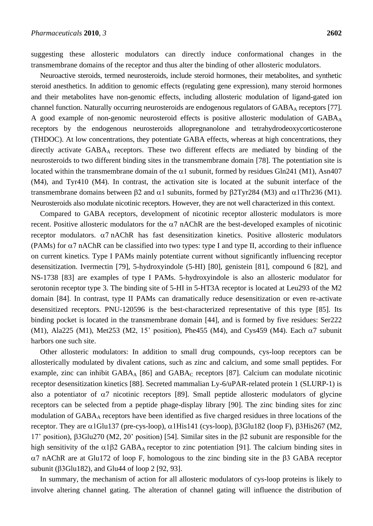suggesting these allosteric modulators can directly induce conformational changes in the transmembrane domains of the receptor and thus alter the binding of other allosteric modulators.

Neuroactive steroids, termed neurosteroids, include steroid hormones, their metabolites, and synthetic steroid anesthetics. In addition to genomic effects (regulating gene expression), many steroid hormones and their metabolites have non-genomic effects, including allosteric modulation of ligand-gated ion channel function. Naturally occurring neurosteroids are endogenous regulators of GABA<sub>A</sub> receptors [77]. A good example of non-genomic neurosteroid effects is positive allosteric modulation of GABA<sub>A</sub> receptors by the endogenous neurosteroids allopregnanolone and tetrahydrodeoxycorticosterone (THDOC). At low concentrations, they potentiate GABA effects, whereas at high concentrations, they directly activate  $GABA_A$  receptors. These two different effects are mediated by binding of the neurosteroids to two different binding sites in the transmembrane domain [78]. The potentiation site is located within the transmembrane domain of the  $\alpha$ 1 subunit, formed by residues Gln241 (M1), Asn407 (M4), and Tyr410 (M4). In contrast, the activation site is located at the subunit interface of the transmembrane domains between  $\beta$ 2 and  $\alpha$ 1 subunits, formed by  $\beta$ 2Tyr284 (M3) and  $\alpha$ 1Thr236 (M1). Neurosteroids also modulate nicotinic receptors. However, they are not well characterized in this context.

Compared to GABA receptors, development of nicotinic receptor allosteric modulators is more recent. Positive allosteric modulators for the  $\alpha$ 7 nAChR are the best-developed examples of nicotinic receptor modulators.  $\alpha$ 7 nAChR has fast desensitization kinetics. Positive allosteric modulators (PAMs) for  $\alpha$ 7 nAChR can be classified into two types: type I and type II, according to their influence on current kinetics. Type I PAMs mainly potentiate current without significantly influencing receptor desensitization. Ivermectin [79], 5-hydroxyindole (5-HI) [80], genistein [81], compound 6 [82], and NS-1738 [83] are examples of type I PAMs. 5-hydroxyindole is also an allosteric modulator for serotonin receptor type 3. The binding site of 5-HI in 5-HT3A receptor is located at Leu293 of the M2 domain [84]. In contrast, type II PAMs can dramatically reduce desensitization or even re-activate desensitized receptors. PNU-120596 is the best-characterized representative of this type [85]. Its binding pocket is located in the transmembrane domain [44], and is formed by five residues: Ser222 (M1), Ala225 (M1), Met253 (M2, 15' position), Phe455 (M4), and Cys459 (M4). Each  $\alpha$ 7 subunit harbors one such site.

Other allosteric modulators: In addition to small drug compounds, cys-loop receptors can be allosterically modulated by divalent cations, such as zinc and calcium, and some small peptides. For example, zinc can inhibit  $GABA_A$  [86] and  $GABA_C$  receptors [87]. Calcium can modulate nicotinic receptor desensitization kinetics [88]. Secreted mammalian Ly-6/uPAR-related protein 1 (SLURP-1) is also a potentiator of  $\alpha$ 7 nicotinic receptors [89]. Small peptide allosteric modulators of glycine receptors can be selected from a peptide phage-display library [90]. The zinc binding sites for zinc modulation of GABA<sub>A</sub> receptors have been identified as five charged residues in three locations of the receptor. They are  $\alpha$ 1Glu137 (pre-cys-loop),  $\alpha$ 1His141 (cys-loop),  $\beta$ 3Glu182 (loop F),  $\beta$ 3His267 (M2, 17' position),  $\beta$ 3Glu270 (M2, 20' position) [54]. Similar sites in the  $\beta$ 2 subunit are responsible for the high sensitivity of the  $\alpha$ 1 $\beta$ 2 GABA<sub>A</sub> receptor to zinc potentiation [91]. The calcium binding sites in  $\alpha$ 7 nAChR are at Glu172 of loop F, homologous to the zinc binding site in the  $\beta$ 3 GABA receptor subunit ( $\beta$ 3Glu182), and Glu44 of loop 2 [92, 93].

In summary, the mechanism of action for all allosteric modulators of cys-loop proteins is likely to involve altering channel gating. The alteration of channel gating will influence the distribution of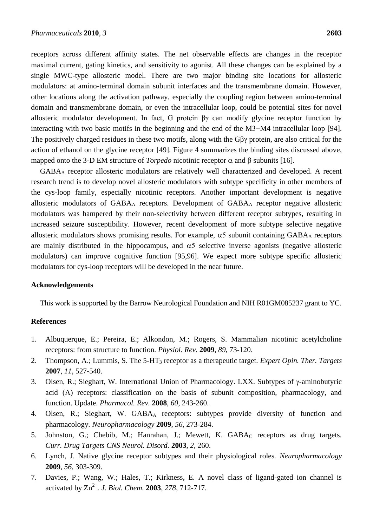receptors across different affinity states. The net observable effects are changes in the receptor maximal current, gating kinetics, and sensitivity to agonist. All these changes can be explained by a single MWC-type allosteric model. There are two major binding site locations for allosteric modulators: at amino-terminal domain subunit interfaces and the transmembrane domain. However, other locations along the activation pathway, especially the coupling region between amino-terminal domain and transmembrane domain, or even the intracellular loop, could be potential sites for novel allosteric modulator development. In fact, G protein βγ can modify glycine receptor function by interacting with two basic motifs in the beginning and the end of the M3−M4 intracellular loop [94]. The positively charged residues in these two motifs, along with the Gβγ protein, are also critical for the action of ethanol on the glycine receptor [49]. Figure 4 summarizes the binding sites discussed above, mapped onto the 3-D EM structure of *Torpedo* nicotinic receptor  $\alpha$  and  $\beta$  subunits [16].

GABA<sup>A</sup> receptor allosteric modulators are relatively well characterized and developed. A recent research trend is to develop novel allosteric modulators with subtype specificity in other members of the cys-loop family, especially nicotinic receptors. Another important development is negative allosteric modulators of GABA<sup>A</sup> receptors. Development of GABA<sup>A</sup> receptor negative allosteric modulators was hampered by their non-selectivity between different receptor subtypes, resulting in increased seizure susceptibility. However, recent development of more subtype selective negative allosteric modulators shows promising results. For example,  $\alpha$ 5 subunit containing GABA<sub>A</sub> receptors are mainly distributed in the hippocampus, and  $\alpha$ 5 selective inverse agonists (negative allosteric modulators) can improve cognitive function [95,96]. We expect more subtype specific allosteric modulators for cys-loop receptors will be developed in the near future.

#### **Acknowledgements**

This work is supported by the Barrow Neurological Foundation and NIH R01GM085237 grant to YC.

#### **References**

- 1. Albuquerque, E.; Pereira, E.; Alkondon, M.; Rogers, S. Mammalian nicotinic acetylcholine receptors: from structure to function*. Physiol. Rev.* **2009**, *89*, 73-120.
- 2. Thompson, A.; Lummis, S. The 5-HT<sup>3</sup> receptor as a therapeutic target*. Expert Opin. Ther. Targets* **2007**, *11*, 527-540.
- 3. Olsen, R.; Sieghart, W. International Union of Pharmacology. LXX. Subtypes of  $\gamma$ -aminobutyric acid (A) receptors: classification on the basis of subunit composition, pharmacology, and function. Update. *Pharmacol. Rev.* **2008**, *60*, 243-260.
- 4. Olsen, R.; Sieghart, W. GABA<sub>A</sub> receptors: subtypes provide diversity of function and pharmacology*. Neuropharmacology* **2009**, *56*, 273-284.
- 5. Johnston, G.; Chebib, M.; Hanrahan, J.; Mewett, K. GABA<sub>C</sub> receptors as drug targets. *Curr. Drug Targets CNS Neurol. Disord.* **2003**, *2*, 260.
- 6. Lynch, J. Native glycine receptor subtypes and their physiological roles*. Neuropharmacology* **2009**, *56*, 303-309.
- 7. Davies, P.; Wang, W.; Hales, T.; Kirkness, E. A novel class of ligand-gated ion channel is activated by Zn2+ *. J. Biol. Chem.* **2003**, *278*, 712-717.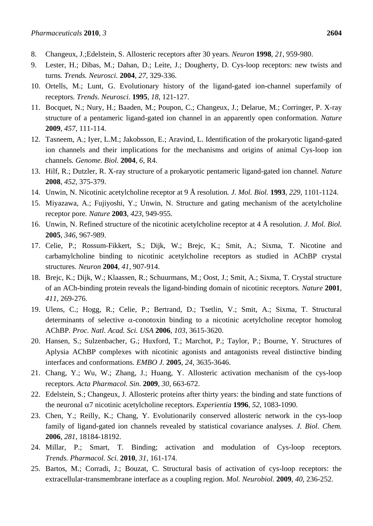- 8. Changeux, J.;Edelstein, S. Allosteric receptors after 30 years*. Neuron* **1998**, *21*, 959-980.
- 9. Lester, H.; Dibas, M.; Dahan, D.; Leite, J.; Dougherty, D. Cys-loop receptors: new twists and turns*. Trends. Neurosci.* **2004**, *27*, 329-336.
- 10. Ortells, M.; Lunt, G. Evolutionary history of the ligand-gated ion-channel superfamily of receptors*. Trends. Neurosci.* **1995**, *18*, 121-127.
- 11. Bocquet, N.; Nury, H.; Baaden, M.; Poupon, C.; Changeux, J.; Delarue, M.; Corringer, P. X-ray structure of a pentameric ligand-gated ion channel in an apparently open conformation*. Nature* **2009**, *457*, 111-114.
- 12. Tasneem, A.; Iyer, L.M.; Jakobsson, E.; Aravind, L. Identification of the prokaryotic ligand-gated ion channels and their implications for the mechanisms and origins of animal Cys-loop ion channels*. Genome. Biol.* **2004**, *6*, R4.
- 13. Hilf, R.; Dutzler, R. X-ray structure of a prokaryotic pentameric ligand-gated ion channel*. Nature* **2008**, *452*, 375-379.
- 14. Unwin, N. Nicotinic acetylcholine receptor at 9 Å resolution*. J. Mol. Biol.* **1993**, *229,* 1101-1124.
- 15. Miyazawa, A.; Fujiyoshi, Y.; Unwin, N. Structure and gating mechanism of the acetylcholine receptor pore*. Nature* **2003**, *423*, 949-955.
- 16. Unwin, N. Refined structure of the nicotinic acetylcholine receptor at 4 Å resolution*. J. Mol. Biol.* **2005**, *346*, 967-989.
- 17. Celie, P.; Rossum-Fikkert, S.; Dijk, W.; Brejc, K.; Smit, A.; Sixma, T. Nicotine and carbamylcholine binding to nicotinic acetylcholine receptors as studied in AChBP crystal structures*. Neuron* **2004**, *41*, 907-914.
- 18. Brejc, K.; Dijk, W.; Klaassen, R.; Schuurmans, M.; Oost, J.; Smit, A.; Sixma, T. Crystal structure of an ACh-binding protein reveals the ligand-binding domain of nicotinic receptors*. Nature* **2001**, *411*, 269-276.
- 19. Ulens, C.; Hogg, R.; Celie, P.; Bertrand, D.; Tsetlin, V.; Smit, A.; Sixma, T. Structural determinants of selective  $\alpha$ -conotoxin binding to a nicotinic acetylcholine receptor homolog AChBP*. Proc. Natl. Acad. Sci. USA* **2006**, *103*, 3615-3620.
- 20. Hansen, S.; Sulzenbacher, G.; Huxford, T.; Marchot, P.; Taylor, P.; Bourne, Y. Structures of Aplysia AChBP complexes with nicotinic agonists and antagonists reveal distinctive binding interfaces and conformations*. EMBO J.* **2005**, *24*, 3635-3646.
- 21. Chang, Y.; Wu, W.; Zhang, J.; Huang, Y. Allosteric activation mechanism of the cys-loop receptors*. Acta Pharmacol. Sin.* **2009**, *30*, 663-672.
- 22. Edelstein, S.; Changeux, J. Allosteric proteins after thirty years: the binding and state functions of the neuronal  $\alpha$ 7 nicotinic acetylcholine receptors. *Experientia* **1996**, 52, 1083-1090.
- 23. Chen, Y.; Reilly, K.; Chang, Y. Evolutionarily conserved allosteric network in the cys-loop family of ligand-gated ion channels revealed by statistical covariance analyses*. J. Biol. Chem.* **2006**, *281*, 18184-18192.
- 24. Millar, P.; Smart, T. Binding; activation and modulation of Cys-loop receptors*. Trends. Pharmacol. Sci.* **2010**, *31*, 161-174.
- 25. Bartos, M.; Corradi, J.; Bouzat, C. Structural basis of activation of cys-loop receptors: the extracellular-transmembrane interface as a coupling region*. Mol. Neurobiol.* **2009**, *40*, 236-252.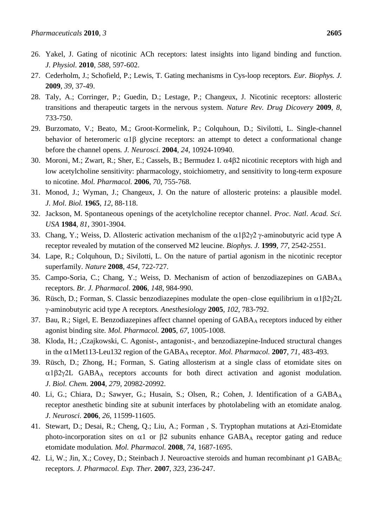- 26. Yakel, J. Gating of nicotinic ACh receptors: latest insights into ligand binding and function*. J. Physiol.* **2010**, *588*, 597-602.
- 27. Cederholm, J.; Schofield, P.; Lewis, T. Gating mechanisms in Cys-loop receptors*. Eur. Biophys. J.* **2009**, *39*, 37-49.
- 28. Taly, A.; Corringer, P.; Guedin, D.; Lestage, P.; Changeux, J. Nicotinic receptors: allosteric transitions and therapeutic targets in the nervous system*. Nature Rev. Drug Dicovery* **2009**, *8*, 733-750.
- 29. Burzomato, V.; Beato, M.; Groot-Kormelink, P.; Colquhoun, D.; Sivilotti, L. Single-channel behavior of heteromeric  $\alpha$ 1 $\beta$  glycine receptors: an attempt to detect a conformational change before the channel opens*. J. Neurosci.* **2004**, *24*, 10924-10940.
- 30. Moroni, M.; Zwart, R.; Sher, E.; Cassels, B.; Bermudez I.  $\alpha$ 4 $\beta$ 2 nicotinic receptors with high and low acetylcholine sensitivity: pharmacology, stoichiometry, and sensitivity to long-term exposure to nicotine*. Mol. Pharmacol.* **2006**, *70*, 755-768.
- 31. Monod, J.; Wyman, J.; Changeux, J. On the nature of allosteric proteins: a plausible model*. J. Mol. Biol.* **1965**, *12*, 88-118.
- 32. Jackson, M. Spontaneous openings of the acetylcholine receptor channel*. Proc. Natl. Acad. Sci. USA* **1984**, *81*, 3901-3904.
- 33. Chang, Y.; Weiss, D. Allosteric activation mechanism of the  $\alpha$ 1 $\beta$ 2 $\gamma$ 2  $\gamma$ -aminobutyric acid type A receptor revealed by mutation of the conserved M2 leucine*. Biophys. J.* **1999**, *77*, 2542-2551.
- 34. Lape, R.; Colquhoun, D.; Sivilotti, L. On the nature of partial agonism in the nicotinic receptor superfamily*. Nature* **2008**, *454*, 722-727.
- 35. Campo-Soria, C.; Chang, Y.; Weiss, D. Mechanism of action of benzodiazepines on GABA<sub>A</sub> receptors*. Br. J. Pharmacol.* **2006**, *148*, 984-990.
- 36. Rüsch, D.; Forman, S. Classic benzodiazepines modulate the open–close equilibrium in  $\alpha$ 1 $\beta$ 2 $\gamma$ 2L -aminobutyric acid type A receptors*. Anesthesiology* **2005**, *102*, 783-792.
- 37. Bau, R.; Sigel, E. Benzodiazepines affect channel opening of GABA<sub>A</sub> receptors induced by either agonist binding site*. Mol. Pharmacol.* **2005**, *67*, 1005-1008.
- 38. Kloda, H.; ,Czajkowski, C. Agonist-, antagonist-, and benzodiazepine-Induced structural changes in the  $\alpha$ 1Met113-Leu132 region of the GABA<sub>A</sub> receptor. *Mol. Pharmacol.* **2007**, 71, 483-493.
- 39. Rüsch, D.; Zhong, H.; Forman, S. Gating allosterism at a single class of etomidate sites on  $\alpha$ 1 $\beta$ 2 $\gamma$ 2L GABA<sub>A</sub> receptors accounts for both direct activation and agonist modulation. *J. Biol. Chem.* **2004**, *279*, 20982-20992.
- 40. Li, G.; Chiara, D.; Sawyer, G.; Husain, S.; Olsen, R.; Cohen, J. Identification of a GABAA receptor anesthetic binding site at subunit interfaces by photolabeling with an etomidate analog*. J. Neurosci.* **2006**, *26*, 11599-11605.
- 41. Stewart, D.; Desai, R.; Cheng, Q.; Liu, A.; Forman , S. Tryptophan mutations at Azi-Etomidate photo-incorporation sites on  $\alpha$ 1 or  $\beta$ 2 subunits enhance GABA<sub>A</sub> receptor gating and reduce etomidate modulation*. Mol. Pharmacol.* **2008**, *74*, 1687-1695.
- 42. Li, W.; Jin, X.; Covey, D.; Steinbach J. Neuroactive steroids and human recombinant  $\rho$ 1 GABA<sub>C</sub> receptors*. J. Pharmacol. Exp. Ther.* **2007**, *323*, 236-247.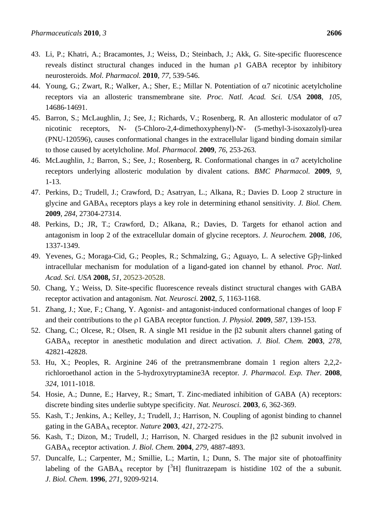- 43. Li, P.; Khatri, A.; Bracamontes, J.; Weiss, D.; Steinbach, J.; Akk, G. Site-specific fluorescence reveals distinct structural changes induced in the human  $\rho$ 1 GABA receptor by inhibitory neurosteroids. *Mol. Pharmacol.* **2010**, *77*, 539-546.
- 44. Young, G.; Zwart, R.; Walker, A.; Sher, E.; Millar N. Potentiation of  $\alpha$ 7 nicotinic acetylcholine receptors via an allosteric transmembrane site*. Proc. Natl. Acad. Sci. USA* **2008**, *105*, 14686-14691.
- 45. Barron, S.; McLaughlin, J.; See, J.; Richards, V.; Rosenberg, R. An allosteric modulator of  $\alpha$ 7 nicotinic receptors, N- (5-Chloro-2,4-dimethoxyphenyl)-N'- (5-methyl-3-isoxazolyl)-urea (PNU-120596), causes conformational changes in the extracellular ligand binding domain similar to those caused by acetylcholine*. Mol. Pharmacol.* **2009**, *76*, 253-263.
- 46. McLaughlin, J.; Barron, S.; See, J.; Rosenberg, R. Conformational changes in  $\alpha$ 7 acetylcholine receptors underlying allosteric modulation by divalent cations*. BMC Pharmacol.* **2009**, *9*, 1-13.
- 47. Perkins, D.; Trudell, J.; Crawford, D.; Asatryan, L.; Alkana, R.; Davies D. Loop 2 structure in glycine and GABA<sup>A</sup> receptors plays a key role in determining ethanol sensitivity*. J. Biol. Chem.* **2009**, *284*, 27304-27314.
- 48. Perkins, D.; JR, T.; Crawford, D.; Alkana, R.; Davies, D. Targets for ethanol action and antagonism in loop 2 of the extracellular domain of glycine receptors*. J. Neurochem.* **2008**, *106*, 1337-1349.
- 49. Yevenes, G.; Moraga-Cid, G.; Peoples, R.; Schmalzing, G.; Aguayo, L. A selective  $G\beta\gamma$ -linked intracellular mechanism for modulation of a ligand-gated ion channel by ethanol*. Proc. Natl. Acad. Sci. USA* **2008,** *51*, 20523-20528.
- 50. Chang, Y.; Weiss, D. Site-specific fluorescence reveals distinct structural changes with GABA receptor activation and antagonism*. Nat. Neurosci.* **2002**, *5*, 1163-1168.
- 51. Zhang, J.; Xue, F.; Chang, Y. Agonist- and antagonist-induced conformational changes of loop F and their contributions to the  $\rho$ 1 GABA receptor function. *J. Physiol.* **2009**, *587*, 139-153.
- 52. Chang, C.; Olcese, R.; Olsen, R. A single M1 residue in the  $\beta$ 2 subunit alters channel gating of GABA<sup>A</sup> receptor in anesthetic modulation and direct activation*. J. Biol. Chem.* **2003**, *278*, 42821-42828.
- 53. Hu, X.; Peoples, R. Arginine 246 of the pretransmembrane domain 1 region alters 2,2,2 richloroethanol action in the 5-hydroxytryptamine3A receptor*. J. Pharmacol. Exp. Ther.* **2008**, *324*, 1011-1018.
- 54. Hosie, A.; Dunne, E.; Harvey, R.; Smart, T. Zinc-mediated inhibition of GABA (A) receptors: discrete binding sites underlie subtype specificity*. Nat. Neurosci.* **2003**, *6*, 362-369.
- 55. Kash, T.; Jenkins, A.; Kelley, J.; Trudell, J.; Harrison, N. Coupling of agonist binding to channel gating in the GABA<sup>A</sup> receptor*. Nature* **2003**, *421*, 272-275.
- 56. Kash, T.; Dizon, M.; Trudell, J.; Harrison, N. Charged residues in the  $\beta$ 2 subunit involved in GABA<sup>A</sup> receptor activation*. J. Biol. Chem.* **2004**, *279*, 4887-4893.
- 57. Duncalfe, L.; Carpenter, M.; Smillie, L.; Martin, I.; Dunn, S. The major site of photoaffinity labeling of the GABA<sub>A</sub> receptor by  $\int^3 H$  flunitrazepam is histidine 102 of the a subunit. *J. Biol. Chem.* **1996**, *271*, 9209-9214.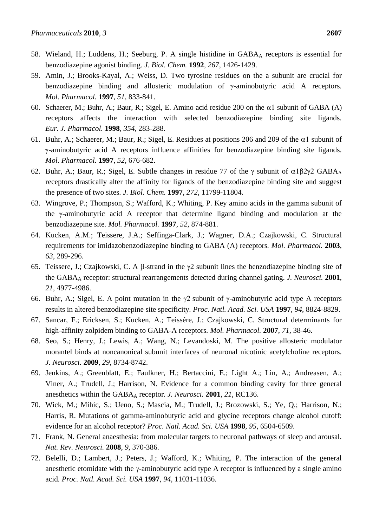- 58. Wieland, H.; Luddens, H.; Seeburg, P. A single histidine in GABA<sup>A</sup> receptors is essential for benzodiazepine agonist binding*. J. Biol. Chem.* **1992**, *267*, 1426-1429.
- 59. Amin, J.; Brooks-Kayal, A.; Weiss, D. Two tyrosine residues on the a subunit are crucial for benzodiazepine binding and allosteric modulation of  $\gamma$ -aminobutyric acid A receptors. *Mol. Pharmacol.* **1997**, *51*, 833-841.
- 60. Schaerer, M.; Buhr, A.; Baur, R.; Sigel, E. Amino acid residue 200 on the  $\alpha$ 1 subunit of GABA (A) receptors affects the interaction with selected benzodiazepine binding site ligands*. Eur. J. Pharmacol.* **1998**, *354*, 283-288.
- 61. Buhr, A.; Schaerer, M.; Baur, R.; Sigel, E. Residues at positions 206 and 209 of the  $\alpha$ 1 subunit of -aminobutyric acid A receptors influence affinities for benzodiazepine binding site ligands. *Mol. Pharmacol.* **1997**, *52*, 676-682.
- 62. Buhr, A.; Baur, R.; Sigel, E. Subtle changes in residue 77 of the  $\gamma$  subunit of  $\alpha$ 1 $\beta$ 2 $\gamma$ 2 GABA<sub>A</sub> receptors drastically alter the affinity for ligands of the benzodiazepine binding site and suggest the presence of two sites*. J. Biol. Chem.* **1997**, *272*, 11799-11804.
- 63. Wingrove, P.; Thompson, S.; Wafford, K.; Whiting, P. Key amino acids in the gamma subunit of the  $\gamma$ -aminobutyric acid A receptor that determine ligand binding and modulation at the benzodiazepine site*. Mol. Pharmacol.* **1997**, *52*, 874-881.
- 64. Kucken, A.M.; Teissere, J.A.; Seffinga-Clark, J.; Wagner, D.A.; Czajkowski, C. Structural requirements for imidazobenzodiazepine binding to GABA (A) receptors*. Mol. Pharmacol.* **2003**, *63*, 289-296.
- 65. Teissere, J.; Czajkowski, C. A  $\beta$ -strand in the  $\gamma$ 2 subunit lines the benzodiazepine binding site of the GABA<sup>A</sup> receptor: structural rearrangements detected during channel gating*. J. Neurosci.* **2001**, *21*, 4977-4986.
- 66. Buhr, A.; Sigel, E. A point mutation in the  $\gamma$ 2 subunit of  $\gamma$ -aminobutyric acid type A receptors results in altered benzodiazepine site specificity*. Proc. Natl. Acad. Sci. USA* **1997**, *94*, 8824-8829.
- 67. Sancar, F.; Ericksen, S.; Kucken, A.; Teissére, J.; Czajkowski, C. Structural determinants for high-affinity zolpidem binding to GABA-A receptors*. Mol. Pharmacol.* **2007**, *71*, 38-46.
- 68. Seo, S.; Henry, J.; Lewis, A.; Wang, N.; Levandoski, M. The positive allosteric modulator morantel binds at noncanonical subunit interfaces of neuronal nicotinic acetylcholine receptors*. J. Neurosci.* **2009**, *29*, 8734-8742.
- 69. Jenkins, A.; Greenblatt, E.; Faulkner, H.; Bertaccini, E.; Light A.; Lin, A.; Andreasen, A.; Viner, A.; Trudell, J.; Harrison, N. Evidence for a common binding cavity for three general anesthetics within the GABA<sup>A</sup> receptor*. J. Neurosci.* **2001**, *21*, RC136.
- 70. Wick, M.; Mihic, S.; Ueno, S.; Mascia, M.; Trudell, J.; Brozowski, S.; Ye, Q.; Harrison, N.; Harris, R. Mutations of gamma-aminobutyric acid and glycine receptors change alcohol cutoff: evidence for an alcohol receptor? *Proc. Natl. Acad. Sci. USA* **1998**, *95*, 6504-6509.
- 71. Frank, N. General anaesthesia: from molecular targets to neuronal pathways of sleep and arousal*. Nat. Rev. Neurosci.* **2008**, *9*, 370-386.
- 72. Belelli, D.; Lambert, J.; Peters, J.; Wafford, K.; Whiting, P. The interaction of the general anesthetic etomidate with the  $\gamma$ -aminobutyric acid type A receptor is influenced by a single amino acid*. Proc. Natl. Acad. Sci. USA* **1997**, *94*, 11031-11036.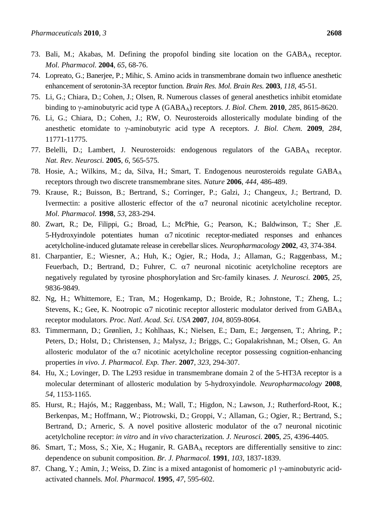- 73. Bali, M.; Akabas, M. Defining the propofol binding site location on the GABA<sub>A</sub> receptor. *Mol. Pharmacol.* **2004**, *65*, 68-76.
- 74. Lopreato, G.; Banerjee, P.; Mihic, S. Amino acids in transmembrane domain two influence anesthetic enhancement of serotonin-3A receptor function*. Brain Res. Mol. Brain Res.* **2003**, *118*, 45-51.
- 75. Li, G.; Chiara, D.; Cohen, J.; Olsen, R. Numerous classes of general anesthetics inhibit etomidate binding to  $\gamma$ -aminobutyric acid type A (GABA<sub>A</sub>) receptors. *J. Biol. Chem.* **2010**, 285, 8615-8620.
- 76. Li, G.; Chiara, D.; Cohen, J.; RW, O. Neurosteroids allosterically modulate binding of the anesthetic etomidate to  $\gamma$ -aminobutyric acid type A receptors. *J. Biol. Chem.* 2009, 284, 11771-11775.
- 77. Belelli, D.; Lambert, J. Neurosteroids: endogenous regulators of the GABA<sup>A</sup> receptor*. Nat. Rev. Neurosci.* **2005**, *6*, 565-575.
- 78. Hosie, A.; Wilkins, M.; da, Silva, H.; Smart, T. Endogenous neurosteroids regulate GABA<sup>A</sup> receptors through two discrete transmembrane sites*. Nature* **2006**, *444*, 486-489.
- 79. Krause, R.; Buisson, B.; Bertrand, S.; Corringer, P.; Galzi, J.; Changeux, J.; Bertrand, D. Ivermectin: a positive allosteric effector of the  $\alpha$ <sup>7</sup> neuronal nicotinic acetylcholine receptor. *Mol. Pharmacol.* **1998**, *53*, 283-294.
- 80. Zwart, R.; De, Filippi, G.; Broad, L.; McPhie, G.; Pearson, K.; Baldwinson, T.; Sher ,E. 5-Hydroxyindole potentiates human  $\alpha$ 7 nicotinic receptor-mediated responses and enhances acetylcholine-induced glutamate release in cerebellar slices*. Neuropharmacology* **2002**, *43*, 374-384.
- 81. Charpantier, E.; Wiesner, A.; Huh, K.; Ogier, R.; Hoda, J.; Allaman, G.; Raggenbass, M.; Feuerbach, D.; Bertrand, D.; Fuhrer, C.  $\alpha$ 7 neuronal nicotinic acetylcholine receptors are negatively regulated by tyrosine phosphorylation and Src-family kinases*. J. Neurosci.* **2005**, *25*, 9836-9849.
- 82. Ng, H.; Whittemore, E.; Tran, M.; Hogenkamp, D.; Broide, R.; Johnstone, T.; Zheng, L.; Stevens, K.; Gee, K. Nootropic  $\alpha$ 7 nicotinic receptor allosteric modulator derived from GABA<sub>A</sub> receptor modulators*. Proc. Natl. Acad. Sci. USA* **2007**, *104*, 8059-8064.
- 83. Timmermann, D.; Grønlien, J.; Kohlhaas, K.; Nielsen, E.; Dam, E.; Jørgensen, T.; Ahring, P.; Peters, D.; Holst, D.; Christensen, J.; Malysz, J.; Briggs, C.; Gopalakrishnan, M.; Olsen, G. An allosteric modulator of the  $\alpha$ 7 nicotinic acetylcholine receptor possessing cognition-enhancing properties *in vivo*. *J. Pharmacol. Exp. Ther.* **2007**, *323*, 294-307.
- 84. Hu, X.; Lovinger, D. The L293 residue in transmembrane domain 2 of the 5-HT3A receptor is a molecular determinant of allosteric modulation by 5-hydroxyindole*. Neuropharmacology* **2008**, *54*, 1153-1165.
- 85. Hurst, R.; Hajós, M.; Raggenbass, M.; Wall, T.; Higdon, N.; Lawson, J.; Rutherford-Root, K.; Berkenpas, M.; Hoffmann, W.; Piotrowski, D.; Groppi, V.; Allaman, G.; Ogier, R.; Bertrand, S.; Bertrand, D.; Arneric, S. A novel positive allosteric modulator of the  $\alpha$ 7 neuronal nicotinic acetylcholine receptor: *in vitro* and *in vivo* characterization*. J. Neurosci.* **2005**, *25*, 4396-4405.
- 86. Smart, T.; Moss, S.; Xie, X.; Huganir, R. GABA<sub>A</sub> receptors are differentially sensitive to zinc: dependence on subunit composition*. Br. J. Pharmacol.* **1991**, *103*, 1837-1839.
- 87. Chang, Y.; Amin, J.; Weiss, D. Zinc is a mixed antagonist of homomeric  $\rho$ 1 y-aminobutyric acidactivated channels*. Mol. Pharmacol.* **1995**, *47*, 595-602.